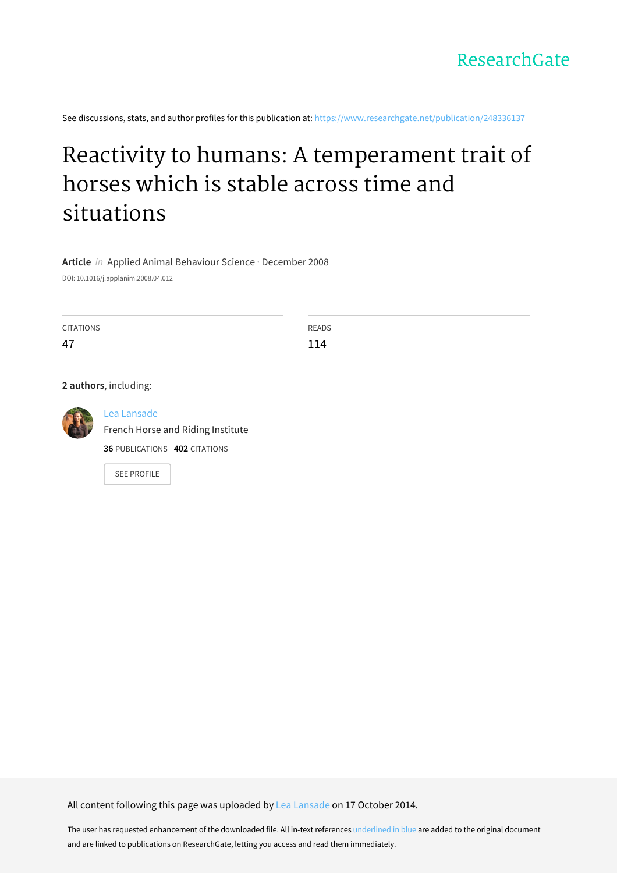See discussions, stats, and author profiles for this publication at: [https://www.researchgate.net/publication/248336137](https://www.researchgate.net/publication/248336137_Reactivity_to_humans_A_temperament_trait_of_horses_which_is_stable_across_time_and_situations?enrichId=rgreq-add8c613710386a6655018b3f63210b0-XXX&enrichSource=Y292ZXJQYWdlOzI0ODMzNjEzNztBUzoxNTMyOTcwOTI2MTYxOTNAMTQxMzU2MDI4MzQwMA%3D%3D&el=1_x_2&_esc=publicationCoverPdf)

# Reactivity to humans: A [temperament](https://www.researchgate.net/publication/248336137_Reactivity_to_humans_A_temperament_trait_of_horses_which_is_stable_across_time_and_situations?enrichId=rgreq-add8c613710386a6655018b3f63210b0-XXX&enrichSource=Y292ZXJQYWdlOzI0ODMzNjEzNztBUzoxNTMyOTcwOTI2MTYxOTNAMTQxMzU2MDI4MzQwMA%3D%3D&el=1_x_3&_esc=publicationCoverPdf) trait of horses which is stable across time and situations

**Article** in Applied Animal Behaviour Science · December 2008

DOI: 10.1016/j.applanim.2008.04.012

| CITATIONS | READS |
|-----------|-------|
| 47        | 114   |
|           |       |

**2 authors**, including:



Lea [Lansade](https://www.researchgate.net/profile/Lea_Lansade?enrichId=rgreq-add8c613710386a6655018b3f63210b0-XXX&enrichSource=Y292ZXJQYWdlOzI0ODMzNjEzNztBUzoxNTMyOTcwOTI2MTYxOTNAMTQxMzU2MDI4MzQwMA%3D%3D&el=1_x_5&_esc=publicationCoverPdf)

French Horse and Riding Institute

**36** PUBLICATIONS **402** CITATIONS

SEE [PROFILE](https://www.researchgate.net/profile/Lea_Lansade?enrichId=rgreq-add8c613710386a6655018b3f63210b0-XXX&enrichSource=Y292ZXJQYWdlOzI0ODMzNjEzNztBUzoxNTMyOTcwOTI2MTYxOTNAMTQxMzU2MDI4MzQwMA%3D%3D&el=1_x_7&_esc=publicationCoverPdf)

All content following this page was uploaded by Lea [Lansade](https://www.researchgate.net/profile/Lea_Lansade?enrichId=rgreq-add8c613710386a6655018b3f63210b0-XXX&enrichSource=Y292ZXJQYWdlOzI0ODMzNjEzNztBUzoxNTMyOTcwOTI2MTYxOTNAMTQxMzU2MDI4MzQwMA%3D%3D&el=1_x_10&_esc=publicationCoverPdf) on 17 October 2014.

The user has requested enhancement of the downloaded file. All in-text references underlined in blue are added to the original document and are linked to publications on ResearchGate, letting you access and read them immediately.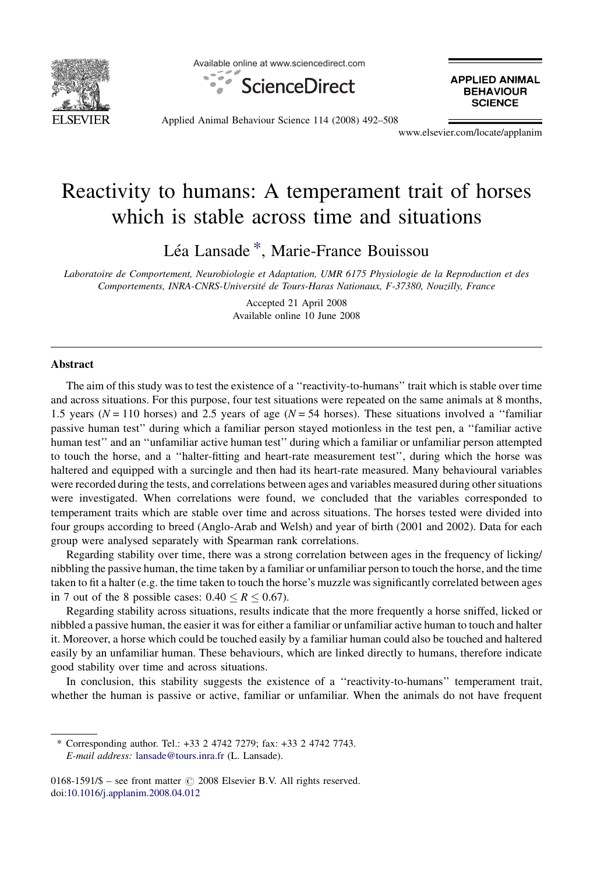

Available online at www.sciencedirect.com



**APPLIED ANIMAL BEHAVIOUR SCIENCE** 

Applied Animal Behaviour Science 114 (2008) 492–508

www.elsevier.com/locate/applanim

## Reactivity to humans: A temperament trait of horses which is stable across time and situations

Léa Lansade<sup>\*</sup>, Marie-France Bouissou

Laboratoire de Comportement, Neurobiologie et Adaptation, UMR 6175 Physiologie de la Reproduction et des Comportements, INRA-CNRS-Université de Tours-Haras Nationaux, F-37380, Nouzilly, France

> Accepted 21 April 2008 Available online 10 June 2008

#### Abstract

The aim of this study was to test the existence of a ''reactivity-to-humans'' trait which is stable over time and across situations. For this purpose, four test situations were repeated on the same animals at 8 months, 1.5 years ( $N = 110$  horses) and 2.5 years of age ( $N = 54$  horses). These situations involved a "familiar" passive human test'' during which a familiar person stayed motionless in the test pen, a ''familiar active human test'' and an ''unfamiliar active human test'' during which a familiar or unfamiliar person attempted to touch the horse, and a ''halter-fitting and heart-rate measurement test'', during which the horse was haltered and equipped with a surcingle and then had its heart-rate measured. Many behavioural variables were recorded during the tests, and correlations between ages and variables measured during other situations were investigated. When correlations were found, we concluded that the variables corresponded to temperament traits which are stable over time and across situations. The horses tested were divided into four groups according to breed (Anglo-Arab and Welsh) and year of birth (2001 and 2002). Data for each group were analysed separately with Spearman rank correlations.

Regarding stability over time, there was a strong correlation between ages in the frequency of licking/ nibbling the passive human, the time taken by a familiar or unfamiliar person to touch the horse, and the time taken to fit a halter (e.g. the time taken to touch the horse's muzzle was significantly correlated between ages in 7 out of the 8 possible cases:  $0.40 \le R \le 0.67$ ).

Regarding stability across situations, results indicate that the more frequently a horse sniffed, licked or nibbled a passive human, the easier it was for either a familiar or unfamiliar active human to touch and halter it. Moreover, a horse which could be touched easily by a familiar human could also be touched and haltered easily by an unfamiliar human. These behaviours, which are linked directly to humans, therefore indicate good stability over time and across situations.

In conclusion, this stability suggests the existence of a ''reactivity-to-humans'' temperament trait, whether the human is passive or active, familiar or unfamiliar. When the animals do not have frequent

<sup>\*</sup> Corresponding author. Tel.: +33 2 4742 7279; fax: +33 2 4742 7743. E-mail address: [lansade@tours.inra.fr](mailto:lansade@tours.inra.fr) (L. Lansade).

 $0168-1591/\$  – see front matter  $\odot$  2008 Elsevier B.V. All rights reserved. doi[:10.1016/j.applanim.2008.04.012](http://dx.doi.org/10.1016/j.applanim.2008.04.012)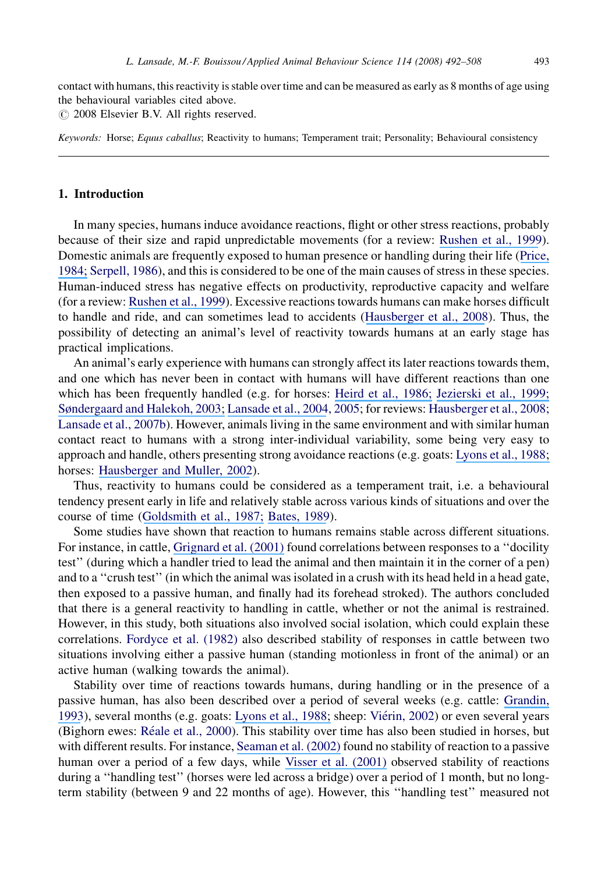contact with humans, this reactivity is stable over time and can be measured as early as 8 months of age using the behavioural variables cited above.

 $\odot$  2008 Elsevier B.V. All rights reserved.

Keywords: Horse; Equus caballus; Reactivity to humans; Temperament trait; Personality; Behavioural consistency

#### 1. Introduction

In many species, humans induce avoidance reactions, flight or other stress reactions, probably because of their size and rapid unpredictable movements (for a review: [Rushen et al., 1999](#page-16-0)). Domestic animals are frequently exposed to human presence or handling during their life ([Price,](#page-16-0) [1984; Serpell, 1986\)](#page-16-0), and this is considered to be one of the main causes of stress in these species. Human-induced stress has negative effects on productivity, reproductive capacity and welfare (for a review: [Rushen et al., 1999](#page-16-0)). Excessive reactions towards humans can make horses difficult to handle and ride, and can sometimes lead to accidents [\(Hausberger et al., 2008](#page-16-0)). Thus, the possibility of detecting an animal's level of reactivity towards humans at an early stage has practical implications.

An animal's early experience with humans can strongly affect its later reactions towards them, and one which has never been in contact with humans will have different reactions than one which has been frequently handled (e.g. for horses: [Heird et al., 1986; Jezierski et al., 1999;](#page-16-0) [Søndergaard and Halekoh, 2003](#page-16-0)[;](https://www.researchgate.net/publication/248335155_Young_horses) [Lansade et al., 2004, 2005](#page-16-0); for reviews: [Hausberger et al., 2008;](#page-16-0) [Lansade et al., 2007b](#page-16-0)). However, animals living in the same environment and with similar human contact react to humans with a strong inter-individual variability, some being very easy to approach and handle, others presenting strong avoidance reactions (e.g. goats: [Lyons et al., 1988](#page-16-0)[;](https://www.researchgate.net/publication/222971458_Individual_differences_in_temperament_of_domestic_dairy_goats_constancy_and_change?el=1_x_8&enrichId=rgreq-add8c613710386a6655018b3f63210b0-XXX&enrichSource=Y292ZXJQYWdlOzI0ODMzNjEzNztBUzoxNTMyOTcwOTI2MTYxOTNAMTQxMzU2MDI4MzQwMA==) horses: [Hausberger and Muller, 2002\)](#page-15-0).

Thus, reactivity to humans could be considered as a temperament trait, i.e. a behavioural tendency present early in life and relatively stable across various kinds of situations and over the course of time ([Goldsmith et al., 1987; Bates, 1989\)](#page-15-0).

Some studies have shown that reaction to humans remains stable across different situations. For instance, in cattle, [Grignard et al. \(2001\)](#page-15-0) found correlations between responses to a ''docility test'' (during which a handler tried to lead the animal and then maintain it in the corner of a pen) and to a ''crush test'' (in which the animal was isolated in a crush with its head held in a head gate, then exposed to a passive human, and finally had its forehead stroked). The authors concluded that there is a general reactivity to handling in cattle, whether or not the animal is restrained. However, in this study, both situations also involved social isolation, which could explain these correlations. [Fordyce et al. \(1982\)](#page-15-0) also described stability of responses in cattle between two situations involving either a passive human (standing motionless in front of the animal) or an active human (walking towards the animal).

Stability over time of reactions towards humans, during handling or in the presence of a passive human, has also been described over a period of several weeks (e.g. cattle: [Grandin,](#page-15-0) [1993](#page-15-0)), several months (e.g. goats: [Lyons et al., 1988](#page-16-0)[;](https://www.researchgate.net/publication/222971458_Individual_differences_in_temperament_of_domestic_dairy_goats_constancy_and_change?el=1_x_8&enrichId=rgreq-add8c613710386a6655018b3f63210b0-XXX&enrichSource=Y292ZXJQYWdlOzI0ODMzNjEzNztBUzoxNTMyOTcwOTI2MTYxOTNAMTQxMzU2MDI4MzQwMA==) sheep: Viérin, 2002) or even several years (Bighorn ewes: Réale et al., 2000). This stability over time has also been studied in horses, but with different results. For instance, [Seaman et al. \(2002\)](#page-16-0) found no stability of reaction to a passive human over a period of a few days, while [Visser et al. \(2001\)](#page-17-0) observed stability of reactions during a ''handling test'' (horses were led across a bridge) over a period of 1 month, but no longterm stability (between 9 and 22 months of age). However, this ''handling test'' measured not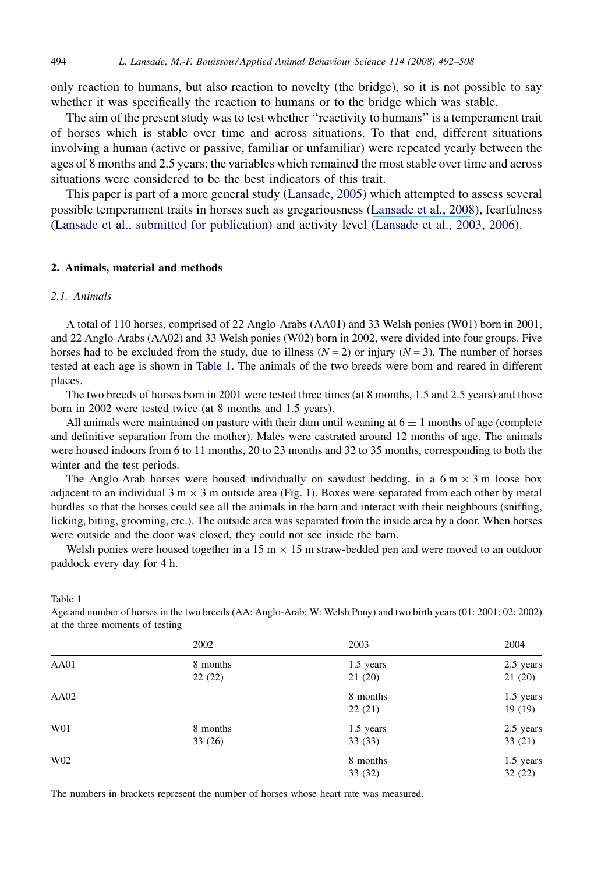<span id="page-3-0"></span>only reaction to humans, but also reaction to novelty (the bridge), so it is not possible to say whether it was specifically the reaction to humans or to the bridge which was stable.

The aim of the present study was to test whether ''reactivity to humans'' is a temperament trait of horses which is stable over time and across situations. To that end, different situations involving a human (active or passive, familiar or unfamiliar) were repeated yearly between the ages of 8 months and 2.5 years; the variables which remained the most stable over time and across situations were considered to be the best indicators of this trait.

This paper is part of a more general study ([Lansade, 2005](#page-16-0)) which attempted to assess several possible temperament traits in horses such as gregariousness ([Lansade et al., 2008\)](#page-16-0), fearfulness [\(Lansade et al., submitted for publication\)](#page-16-0) and activity level [\(Lansade et al., 2003, 2006](#page-16-0)).

#### 2. Animals, material and methods

#### 2.1. Animals

A total of 110 horses, comprised of 22 Anglo-Arabs (AA01) and 33 Welsh ponies (W01) born in 2001, and 22 Anglo-Arabs (AA02) and 33 Welsh ponies (W02) born in 2002, were divided into four groups. Five horses had to be excluded from the study, due to illness ( $N = 2$ ) or injury ( $N = 3$ ). The number of horses tested at each age is shown in Table 1. The animals of the two breeds were born and reared in different places.

The two breeds of horses born in 2001 were tested three times (at 8 months, 1.5 and 2.5 years) and those born in 2002 were tested twice (at 8 months and 1.5 years).

All animals were maintained on pasture with their dam until weaning at  $6 \pm 1$  months of age (complete and definitive separation from the mother). Males were castrated around 12 months of age. The animals were housed indoors from 6 to 11 months, 20 to 23 months and 32 to 35 months, corresponding to both the winter and the test periods.

The Anglo-Arab horses were housed individually on sawdust bedding, in a  $6 \text{ m} \times 3 \text{ m}$  loose box adjacent to an individual 3 m  $\times$  3 m outside area [\(Fig. 1](#page-4-0)). Boxes were separated from each other by metal hurdles so that the horses could see all the animals in the barn and interact with their neighbours (sniffing, licking, biting, grooming, etc.). The outside area was separated from the inside area by a door. When horses were outside and the door was closed, they could not see inside the barn.

Welsh ponies were housed together in a  $15 \text{ m} \times 15 \text{ m}$  straw-bedded pen and were moved to an outdoor paddock every day for 4 h.

Table 1

Age and number of horses in the two breeds (AA: Anglo-Arab; W: Welsh Pony) and two birth years (01: 2001; 02: 2002) at the three moments of testing

|                 | 2002     | 2003      | 2004      |
|-----------------|----------|-----------|-----------|
| AA01            | 8 months | 1.5 years | 2.5 years |
|                 | 22(22)   | 21(20)    | 21(20)    |
| AA02            |          | 8 months  | 1.5 years |
|                 |          | 22(21)    | 19(19)    |
| W01             | 8 months | 1.5 years | 2.5 years |
|                 | 33(26)   | 33(33)    | 33(21)    |
| W <sub>02</sub> |          | 8 months  | 1.5 years |
|                 |          | 33 (32)   | 32(22)    |

The numbers in brackets represent the number of horses whose heart rate was measured.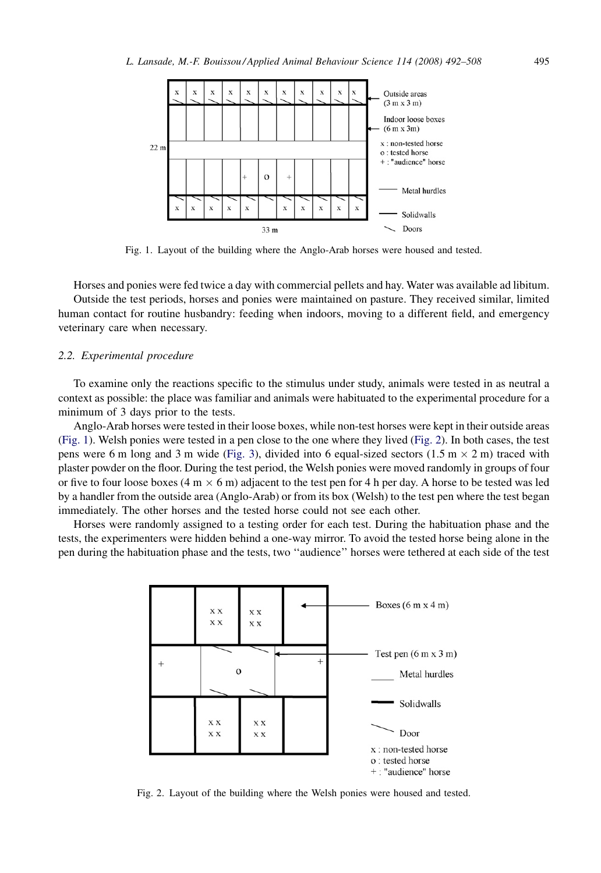<span id="page-4-0"></span>

Fig. 1. Layout of the building where the Anglo-Arab horses were housed and tested.

Horses and ponies were fed twice a day with commercial pellets and hay. Water was available ad libitum. Outside the test periods, horses and ponies were maintained on pasture. They received similar, limited human contact for routine husbandry: feeding when indoors, moving to a different field, and emergency veterinary care when necessary.

#### 2.2. Experimental procedure

To examine only the reactions specific to the stimulus under study, animals were tested in as neutral a context as possible: the place was familiar and animals were habituated to the experimental procedure for a minimum of 3 days prior to the tests.

Anglo-Arab horses were tested in their loose boxes, while non-test horses were kept in their outside areas (Fig. 1). Welsh ponies were tested in a pen close to the one where they lived (Fig. 2). In both cases, the test pens were 6 m long and 3 m wide ([Fig. 3](#page-5-0)), divided into 6 equal-sized sectors (1.5 m  $\times$  2 m) traced with plaster powder on the floor. During the test period, the Welsh ponies were moved randomly in groups of four or five to four loose boxes (4 m  $\times$  6 m) adjacent to the test pen for 4 h per day. A horse to be tested was led by a handler from the outside area (Anglo-Arab) or from its box (Welsh) to the test pen where the test began immediately. The other horses and the tested horse could not see each other.

Horses were randomly assigned to a testing order for each test. During the habituation phase and the tests, the experimenters were hidden behind a one-way mirror. To avoid the tested horse being alone in the pen during the habituation phase and the tests, two ''audience'' horses were tethered at each side of the test



Fig. 2. Layout of the building where the Welsh ponies were housed and tested.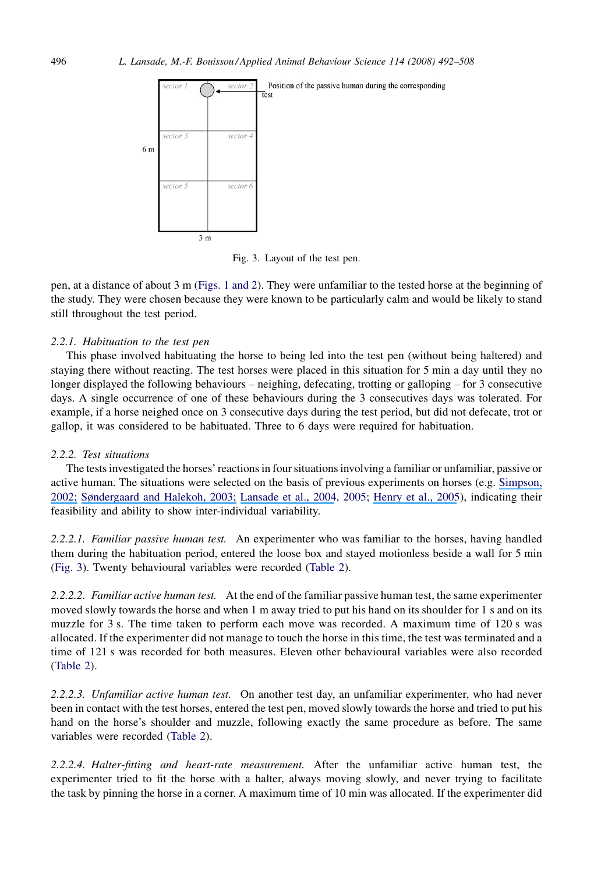<span id="page-5-0"></span>

Fig. 3. Layout of the test pen.

pen, at a distance of about 3 m [\(Figs. 1 and 2](#page-4-0)). They were unfamiliar to the tested horse at the beginning of the study. They were chosen because they were known to be particularly calm and would be likely to stand still throughout the test period.

#### 2.2.1. Habituation to the test pen

This phase involved habituating the horse to being led into the test pen (without being haltered) and staying there without reacting. The test horses were placed in this situation for 5 min a day until they no longer displayed the following behaviours – neighing, defecating, trotting or galloping – for 3 consecutive days. A single occurrence of one of these behaviours during the 3 consecutives days was tolerated. For example, if a horse neighed once on 3 consecutive days during the test period, but did not defecate, trot or gallop, it was considered to be habituated. Three to 6 days were required for habituation.

#### 2.2.2. Test situations

The tests investigated the horses' reactions in four situations involving a familiar or unfamiliar, passive or active human. The situations were selected on the basis of previous experiments on horses (e.g. [Simpson,](#page-16-0) [2002; Søndergaard and Halekoh, 2003; Lansade et al., 2004, 2005; Henry et al., 2005](#page-16-0)), indicating their feasibility and ability to show inter-individual variability.

2.2.2.1. Familiar passive human test. An experimenter who was familiar to the horses, having handled them during the habituation period, entered the loose box and stayed motionless beside a wall for 5 min (Fig. 3). Twenty behavioural variables were recorded ([Table 2](#page-6-0)).

2.2.2.2. Familiar active human test. At the end of the familiar passive human test, the same experimenter moved slowly towards the horse and when 1 m away tried to put his hand on its shoulder for 1 s and on its muzzle for 3 s. The time taken to perform each move was recorded. A maximum time of 120 s was allocated. If the experimenter did not manage to touch the horse in this time, the test was terminated and a time of 121 s was recorded for both measures. Eleven other behavioural variables were also recorded ([Table 2](#page-6-0)).

2.2.2.3. Unfamiliar active human test. On another test day, an unfamiliar experimenter, who had never been in contact with the test horses, entered the test pen, moved slowly towards the horse and tried to put his hand on the horse's shoulder and muzzle, following exactly the same procedure as before. The same variables were recorded ([Table 2](#page-6-0)).

2.2.2.4. Halter-fitting and heart-rate measurement. After the unfamiliar active human test, the experimenter tried to fit the horse with a halter, always moving slowly, and never trying to facilitate the task by pinning the horse in a corner. A maximum time of 10 min was allocated. If the experimenter did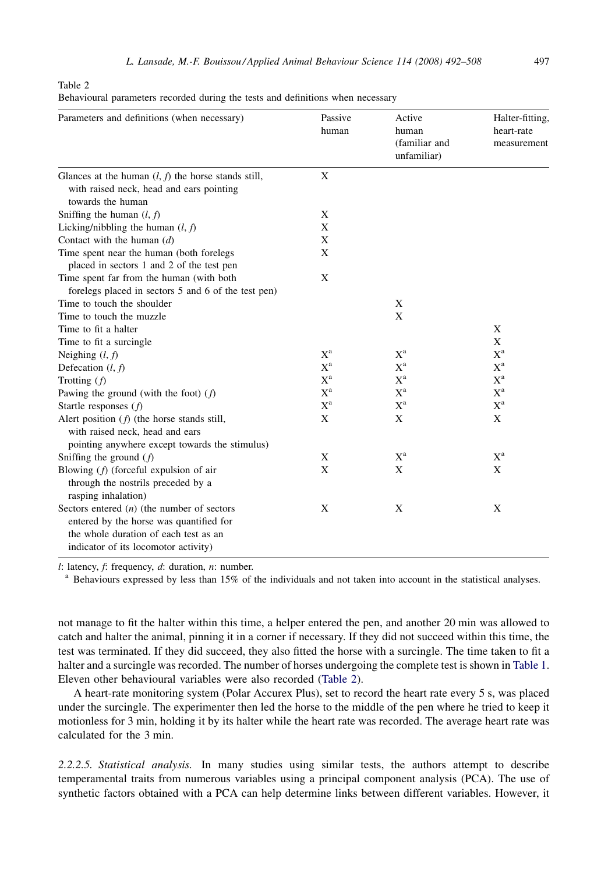<span id="page-6-0"></span>Table 2

Behavioural parameters recorded during the tests and definitions when necessary

| Parameters and definitions (when necessary)                                                                                                                              | Passive<br>human | Active<br>human<br>(familiar and<br>unfamiliar) | Halter-fitting,<br>heart-rate<br>measurement |
|--------------------------------------------------------------------------------------------------------------------------------------------------------------------------|------------------|-------------------------------------------------|----------------------------------------------|
| Glances at the human $(l, f)$ the horse stands still,<br>with raised neck, head and ears pointing<br>towards the human                                                   | X                |                                                 |                                              |
| Sniffing the human $(l, f)$                                                                                                                                              | X                |                                                 |                                              |
| Licking/nibbling the human $(l, f)$                                                                                                                                      | X                |                                                 |                                              |
| Contact with the human $(d)$                                                                                                                                             | X                |                                                 |                                              |
| Time spent near the human (both forelegs<br>placed in sectors 1 and 2 of the test pen                                                                                    | X                |                                                 |                                              |
| Time spent far from the human (with both<br>forelegs placed in sectors 5 and 6 of the test pen)                                                                          | X                |                                                 |                                              |
| Time to touch the shoulder                                                                                                                                               |                  | X                                               |                                              |
| Time to touch the muzzle                                                                                                                                                 |                  | X                                               |                                              |
| Time to fit a halter                                                                                                                                                     |                  |                                                 | X                                            |
| Time to fit a surcingle                                                                                                                                                  |                  |                                                 | X                                            |
| Neighing $(l, f)$                                                                                                                                                        | $X^a$            | $X^{\mathrm{a}}$                                | $X^{\mathrm{a}}$                             |
| Defecation $(l, f)$                                                                                                                                                      | $X^a$            | $X^a$                                           | $X^{\mathrm{a}}$                             |
| Trotting $(f)$                                                                                                                                                           | $X^{\mathrm{a}}$ | $X^{\mathrm{a}}$                                | $X^{\mathrm{a}}$                             |
| Pawing the ground (with the foot) $(f)$                                                                                                                                  | $X^a$            | $X^a$                                           | $X^{\mathrm{a}}$                             |
| Startle responses $(f)$                                                                                                                                                  | $X^a$            | $X^{\mathrm{a}}$                                | $X^{\mathrm{a}}$                             |
| Alert position $(f)$ (the horse stands still,<br>with raised neck, head and ears<br>pointing anywhere except towards the stimulus)                                       | X                | X                                               | X                                            |
| Sniffing the ground $(f)$                                                                                                                                                | X                | $X^a$                                           | $X^{\mathrm{a}}$                             |
| Blowing $(f)$ (forceful expulsion of air<br>through the nostrils preceded by a<br>rasping inhalation)                                                                    | X                | X                                               | X                                            |
| Sectors entered $(n)$ (the number of sectors<br>entered by the horse was quantified for<br>the whole duration of each test as an<br>indicator of its locomotor activity) | X                | Χ                                               | X                                            |

*l*: latency, *f*: frequency, *d*: duration, *n*: number. **a** Behaviours expressed by less than 15% of the individuals and not taken into account in the statistical analyses.

not manage to fit the halter within this time, a helper entered the pen, and another 20 min was allowed to catch and halter the animal, pinning it in a corner if necessary. If they did not succeed within this time, the test was terminated. If they did succeed, they also fitted the horse with a surcingle. The time taken to fit a halter and a surcingle was recorded. The number of horses undergoing the complete test is shown in [Table 1.](#page-3-0) Eleven other behavioural variables were also recorded (Table 2).

A heart-rate monitoring system (Polar Accurex Plus), set to record the heart rate every 5 s, was placed under the surcingle. The experimenter then led the horse to the middle of the pen where he tried to keep it motionless for 3 min, holding it by its halter while the heart rate was recorded. The average heart rate was calculated for the 3 min.

2.2.2.5. Statistical analysis. In many studies using similar tests, the authors attempt to describe temperamental traits from numerous variables using a principal component analysis (PCA). The use of synthetic factors obtained with a PCA can help determine links between different variables. However, it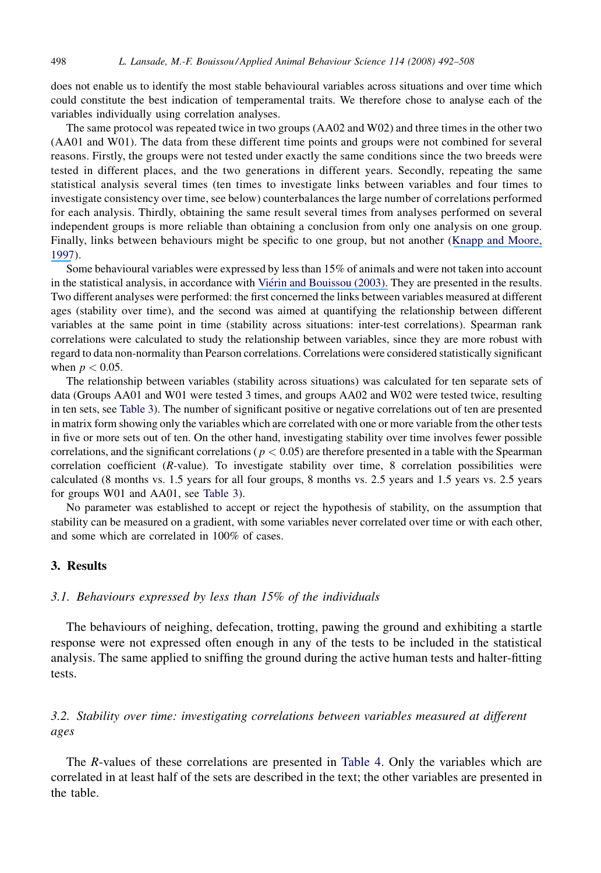does not enable us to identify the most stable behavioural variables across situations and over time which could constitute the best indication of temperamental traits. We therefore chose to analyse each of the variables individually using correlation analyses.

The same protocol was repeated twice in two groups (AA02 and W02) and three times in the other two (AA01 and W01). The data from these different time points and groups were not combined for several reasons. Firstly, the groups were not tested under exactly the same conditions since the two breeds were tested in different places, and the two generations in different years. Secondly, repeating the same statistical analysis several times (ten times to investigate links between variables and four times to investigate consistency over time, see below) counterbalances the large number of correlations performed for each analysis. Thirdly, obtaining the same result several times from analyses performed on several independent groups is more reliable than obtaining a conclusion from only one analysis on one group. Finally, links between behaviours might be specific to one group, but not another ([Knapp and Moore,](#page-16-0) [1997\)](#page-16-0).

Some behavioural variables were expressed by less than 15% of animals and were not taken into account in the statistical analysis, in accordance with Viérin and Bouissou (2003)[.](https://www.researchgate.net/publication/10928537_Responses_of_weaned_lambs_to_fear-eliciting_situations_Origin_of_individual_differences?el=1_x_8&enrichId=rgreq-add8c613710386a6655018b3f63210b0-XXX&enrichSource=Y292ZXJQYWdlOzI0ODMzNjEzNztBUzoxNTMyOTcwOTI2MTYxOTNAMTQxMzU2MDI4MzQwMA==) They are presented in the results. Two different analyses were performed: the first concerned the links between variables measured at different ages (stability over time), and the second was aimed at quantifying the relationship between different variables at the same point in time (stability across situations: inter-test correlations). Spearman rank correlations were calculated to study the relationship between variables, since they are more robust with regard to data non-normality than Pearson correlations. Correlations were considered statistically significant when  $p < 0.05$ .

The relationship between variables (stability across situations) was calculated for ten separate sets of data (Groups AA01 and W01 were tested 3 times, and groups AA02 and W02 were tested twice, resulting in ten sets, see [Table 3\)](#page-8-0). The number of significant positive or negative correlations out of ten are presented in matrix form showing only the variables which are correlated with one or more variable from the other tests in five or more sets out of ten. On the other hand, investigating stability over time involves fewer possible correlations, and the significant correlations ( $p < 0.05$ ) are therefore presented in a table with the Spearman correlation coefficient (R-value). To investigate stability over time, 8 correlation possibilities were calculated (8 months vs. 1.5 years for all four groups, 8 months vs. 2.5 years and 1.5 years vs. 2.5 years for groups W01 and AA01, see [Table 3\)](#page-8-0).

No parameter was established to accept or reject the hypothesis of stability, on the assumption that stability can be measured on a gradient, with some variables never correlated over time or with each other, and some which are correlated in 100% of cases.

#### 3. Results

#### 3.1. Behaviours expressed by less than 15% of the individuals

The behaviours of neighing, defecation, trotting, pawing the ground and exhibiting a startle response were not expressed often enough in any of the tests to be included in the statistical analysis. The same applied to sniffing the ground during the active human tests and halter-fitting tests.

### 3.2. Stability over time: investigating correlations between variables measured at different ages

The R-values of these correlations are presented in [Table 4.](#page-9-0) Only the variables which are correlated in at least half of the sets are described in the text; the other variables are presented in the table.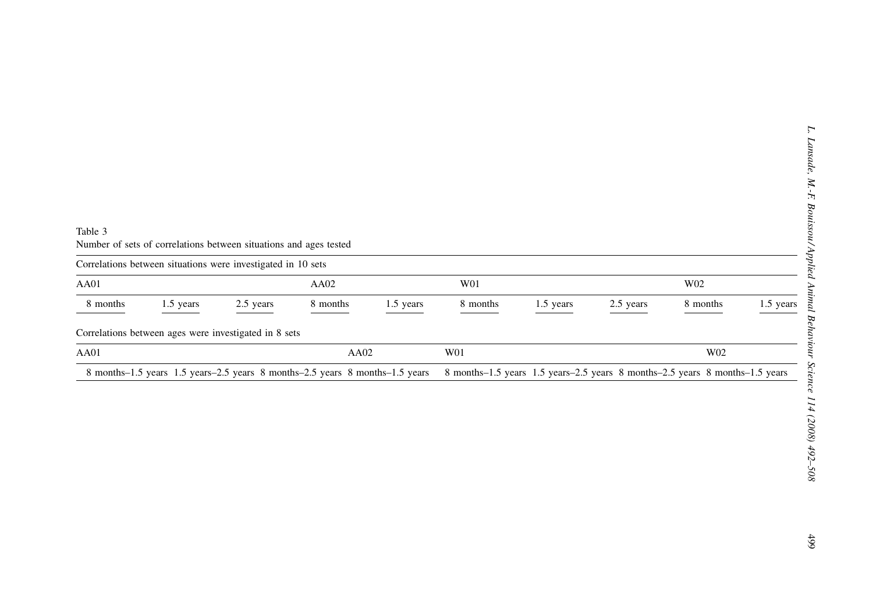<span id="page-8-0"></span>

| AA01     |                                                       |           | AA02                                                                         |           | W01             |           |           | W02                                                                          |           |
|----------|-------------------------------------------------------|-----------|------------------------------------------------------------------------------|-----------|-----------------|-----------|-----------|------------------------------------------------------------------------------|-----------|
| 8 months | 1.5 years                                             | 2.5 years | 8 months                                                                     | 1.5 years | 8 months        | 1.5 years | 2.5 years | 8 months                                                                     | 1.5 years |
|          | Correlations between ages were investigated in 8 sets |           |                                                                              |           |                 |           |           |                                                                              |           |
| AA01     |                                                       |           | AA02                                                                         |           | W <sub>01</sub> |           |           | W02                                                                          |           |
|          |                                                       |           | 8 months-1.5 years 1.5 years-2.5 years 8 months-2.5 years 8 months-1.5 years |           |                 |           |           | 8 months-1.5 years 1.5 years-2.5 years 8 months-2.5 years 8 months-1.5 years |           |
|          |                                                       |           |                                                                              |           |                 |           |           |                                                                              |           |
|          |                                                       |           |                                                                              |           |                 |           |           |                                                                              |           |
|          |                                                       |           |                                                                              |           |                 |           |           |                                                                              |           |
|          |                                                       |           |                                                                              |           |                 |           |           |                                                                              |           |
|          |                                                       |           |                                                                              |           |                 |           |           |                                                                              |           |
|          |                                                       |           |                                                                              |           |                 |           |           |                                                                              |           |
|          |                                                       |           |                                                                              |           |                 |           |           |                                                                              |           |
|          |                                                       |           |                                                                              |           |                 |           |           |                                                                              |           |
|          |                                                       |           |                                                                              |           |                 |           |           |                                                                              |           |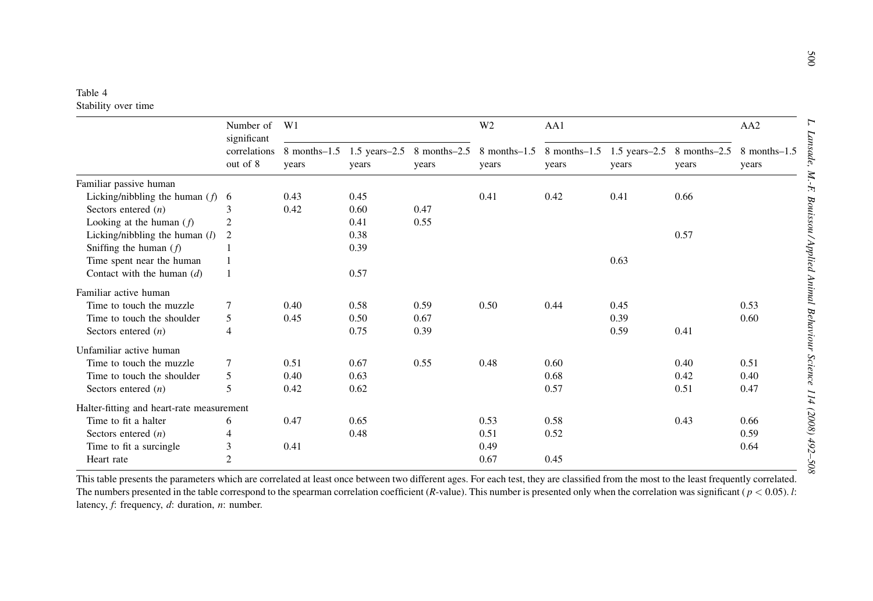| Table 4            |  |
|--------------------|--|
| $C_{\text{total}}$ |  |

<span id="page-9-0"></span>

| Table 4<br>Stability over time            |                                                      |                            |                          |                       |                            |                            |                             |                       |                            |
|-------------------------------------------|------------------------------------------------------|----------------------------|--------------------------|-----------------------|----------------------------|----------------------------|-----------------------------|-----------------------|----------------------------|
|                                           | Number of<br>significant<br>correlations<br>out of 8 | W <sub>1</sub>             |                          | W <sub>2</sub>        | AA1                        |                            | AA2                         |                       |                            |
|                                           |                                                      | $8$ months $-1.5$<br>years | $1.5$ years-2.5<br>years | 8 months-2.5<br>years | $8$ months $-1.5$<br>years | $8$ months $-1.5$<br>years | $1.5$ years $-2.5$<br>years | 8 months-2.5<br>years | $8$ months $-1.5$<br>years |
| Familiar passive human                    |                                                      |                            |                          |                       |                            |                            |                             |                       |                            |
| Licking/nibbling the human $(f)$          | -6                                                   | 0.43                       | 0.45                     |                       | 0.41                       | 0.42                       | 0.41                        | 0.66                  |                            |
| Sectors entered $(n)$                     | 3                                                    | 0.42                       | 0.60                     | 0.47                  |                            |                            |                             |                       |                            |
| Looking at the human $(f)$                | $\overline{2}$                                       |                            | 0.41                     | 0.55                  |                            |                            |                             |                       |                            |
| Licking/nibbling the human $(l)$          | $\overline{2}$                                       |                            | 0.38                     |                       |                            |                            |                             | 0.57                  |                            |
| Sniffing the human $(f)$                  |                                                      |                            | 0.39                     |                       |                            |                            |                             |                       |                            |
| Time spent near the human                 |                                                      |                            |                          |                       |                            |                            | 0.63                        |                       |                            |
| Contact with the human $(d)$              |                                                      |                            | 0.57                     |                       |                            |                            |                             |                       |                            |
| Familiar active human                     |                                                      |                            |                          |                       |                            |                            |                             |                       |                            |
| Time to touch the muzzle                  | $\overline{7}$                                       | 0.40                       | 0.58                     | 0.59                  | 0.50                       | 0.44                       | 0.45                        |                       | 0.53                       |
| Time to touch the shoulder                | 5                                                    | 0.45                       | 0.50                     | 0.67                  |                            |                            | 0.39                        |                       | 0.60                       |
| Sectors entered $(n)$                     | $\overline{4}$                                       |                            | 0.75                     | 0.39                  |                            |                            | 0.59                        | 0.41                  |                            |
| Unfamiliar active human                   |                                                      |                            |                          |                       |                            |                            |                             |                       |                            |
| Time to touch the muzzle                  | 7                                                    | 0.51                       | 0.67                     | 0.55                  | 0.48                       | 0.60                       |                             | 0.40                  | 0.51                       |
| Time to touch the shoulder                | 5                                                    | 0.40                       | 0.63                     |                       |                            | 0.68                       |                             | 0.42                  | 0.40                       |
| Sectors entered $(n)$                     | 5                                                    | 0.42                       | 0.62                     |                       |                            | 0.57                       |                             | 0.51                  | 0.47                       |
| Halter-fitting and heart-rate measurement |                                                      |                            |                          |                       |                            |                            |                             |                       |                            |
| Time to fit a halter                      | 6                                                    | 0.47                       | 0.65                     |                       | 0.53                       | 0.58                       |                             | 0.43                  | 0.66                       |
| Sectors entered $(n)$                     | 4                                                    |                            | 0.48                     |                       | 0.51                       | 0.52                       |                             |                       | 0.59                       |
| Time to fit a surcingle                   | 3                                                    | 0.41                       |                          |                       | 0.49                       |                            |                             |                       | 0.64                       |
| Heart rate                                | $\overline{2}$                                       |                            |                          |                       | 0.67                       | 0.45                       |                             |                       |                            |

This table presents the parameters which are correlated at least once between two different ages. For each test, they are classified from the most to the least frequently correlated. The numbers presented in the table correspond to the spearman correlation coefficient (R-value). This number is presented only when the correlation was significant ( $p < 0.05$ ). I: latency,  $f$ : frequency,  $d$ : duration,  $n$ : number.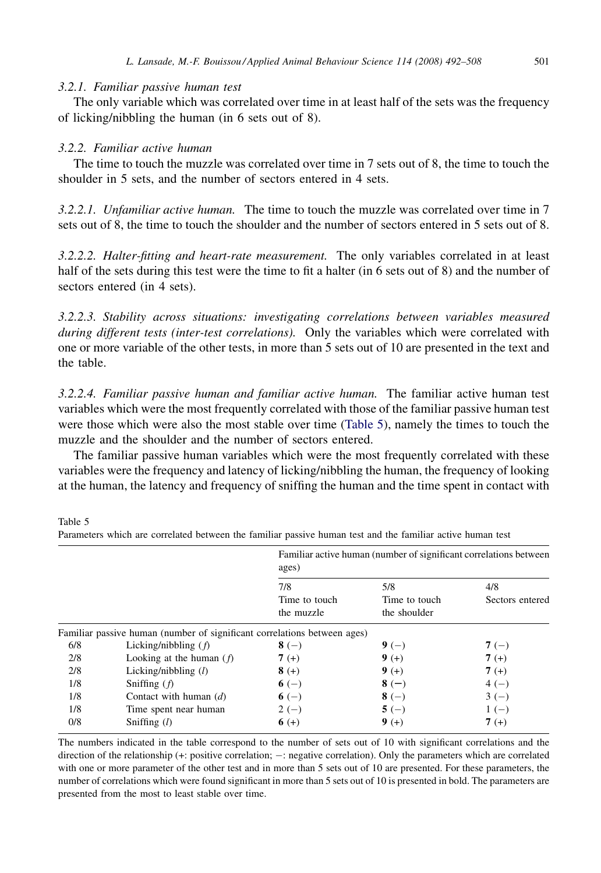#### <span id="page-10-0"></span>3.2.1. Familiar passive human test

The only variable which was correlated over time in at least half of the sets was the frequency of licking/nibbling the human (in 6 sets out of 8).

#### 3.2.2. Familiar active human

The time to touch the muzzle was correlated over time in 7 sets out of 8, the time to touch the shoulder in 5 sets, and the number of sectors entered in 4 sets.

3.2.2.1. Unfamiliar active human. The time to touch the muzzle was correlated over time in 7 sets out of 8, the time to touch the shoulder and the number of sectors entered in 5 sets out of 8.

3.2.2.2. Halter-fitting and heart-rate measurement. The only variables correlated in at least half of the sets during this test were the time to fit a halter (in 6 sets out of 8) and the number of sectors entered (in 4 sets).

3.2.2.3. Stability across situations: investigating correlations between variables measured during different tests (inter-test correlations). Only the variables which were correlated with one or more variable of the other tests, in more than 5 sets out of 10 are presented in the text and the table.

3.2.2.4. Familiar passive human and familiar active human. The familiar active human test variables which were the most frequently correlated with those of the familiar passive human test were those which were also the most stable over time (Table 5), namely the times to touch the muzzle and the shoulder and the number of sectors entered.

The familiar passive human variables which were the most frequently correlated with these variables were the frequency and latency of licking/nibbling the human, the frequency of looking at the human, the latency and frequency of sniffing the human and the time spent in contact with

Familiar active human (number of significant correlations between ages) 7/8 5/8 4/8 Time to touch the muzzle Time to touch the shoulder Sectors entered Familiar passive human (number of significant correlations between ages) 6/8 Licking/nibbling (f)  $8(-)$   $9(-)$   $7(-)$ 2/8 Looking at the human  $(f)$  7 (+) 9 (+) 7 (+) 7 (+) 2/8 Licking/nibbling (l)  $8 (+)$  9 (+)  $7 (+)$ 1/8 Sniffing  $(f)$  6 (-) 8 (-) 4 (-) 1/8 Contact with human (d)  $\mathbf{6}$  (-)  $\mathbf{8}$  (-) 3(-) 1/8 Time spent near human  $2(-)$  5 (-) 1 (-) 0/8 Sniffing (*l*) 6 (+) 9 (+) 7 (+)

The numbers indicated in the table correspond to the number of sets out of 10 with significant correlations and the direction of the relationship  $(+)$ : positive correlation;  $-$ : negative correlation). Only the parameters which are correlated with one or more parameter of the other test and in more than 5 sets out of 10 are presented. For these parameters, the number of correlations which were found significant in more than 5 sets out of 10 is presented in bold. The parameters are presented from the most to least stable over time.

Table 5

Parameters which are correlated between the familiar passive human test and the familiar active human test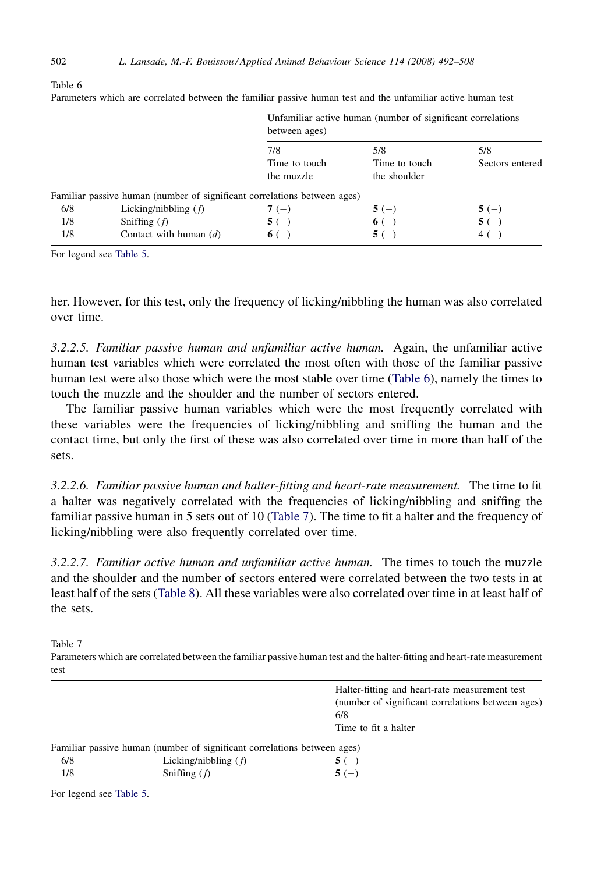|     |                                                                          | Unfamiliar active human (number of significant correlations<br>between ages) |                                      |                        |
|-----|--------------------------------------------------------------------------|------------------------------------------------------------------------------|--------------------------------------|------------------------|
|     |                                                                          | 7/8<br>Time to touch<br>the muzzle                                           | 5/8<br>Time to touch<br>the shoulder | 5/8<br>Sectors entered |
|     | Familiar passive human (number of significant correlations between ages) |                                                                              |                                      |                        |
| 6/8 | Licking/nibbling $(f)$                                                   | $7(-)$                                                                       | $5(-)$                               | $5(-)$                 |
| 1/8 | Sniffing $(f)$                                                           | $5(-)$                                                                       | $6(-)$                               | $5(-)$                 |
| 1/8 | Contact with human $(d)$                                                 | 6 $(-)$                                                                      | $5(-)$                               | $4(-)$                 |

Parameters which are correlated between the familiar passive human test and the unfamiliar active human test

For legend see [Table 5](#page-10-0).

her. However, for this test, only the frequency of licking/nibbling the human was also correlated over time.

3.2.2.5. Familiar passive human and unfamiliar active human. Again, the unfamiliar active human test variables which were correlated the most often with those of the familiar passive human test were also those which were the most stable over time (Table 6), namely the times to touch the muzzle and the shoulder and the number of sectors entered.

The familiar passive human variables which were the most frequently correlated with these variables were the frequencies of licking/nibbling and sniffing the human and the contact time, but only the first of these was also correlated over time in more than half of the sets.

3.2.2.6. Familiar passive human and halter-fitting and heart-rate measurement. The time to fit a halter was negatively correlated with the frequencies of licking/nibbling and sniffing the familiar passive human in 5 sets out of 10 (Table 7). The time to fit a halter and the frequency of licking/nibbling were also frequently correlated over time.

3.2.2.7. Familiar active human and unfamiliar active human. The times to touch the muzzle and the shoulder and the number of sectors entered were correlated between the two tests in at least half of the sets ([Table 8](#page-12-0)). All these variables were also correlated over time in at least half of the sets.

Table 7

Parameters which are correlated between the familiar passive human test and the halter-fitting and heart-rate measurement test

|     |                                                                          | Halter-fitting and heart-rate measurement test<br>(number of significant correlations between ages)<br>6/8<br>Time to fit a halter |
|-----|--------------------------------------------------------------------------|------------------------------------------------------------------------------------------------------------------------------------|
|     | Familiar passive human (number of significant correlations between ages) |                                                                                                                                    |
| 6/8 | Licking/nibbling $(f)$                                                   | $5(-)$                                                                                                                             |
| 1/8 | Sniffing $(f)$                                                           | $5(-)$                                                                                                                             |

For legend see [Table 5](#page-10-0).

Table 6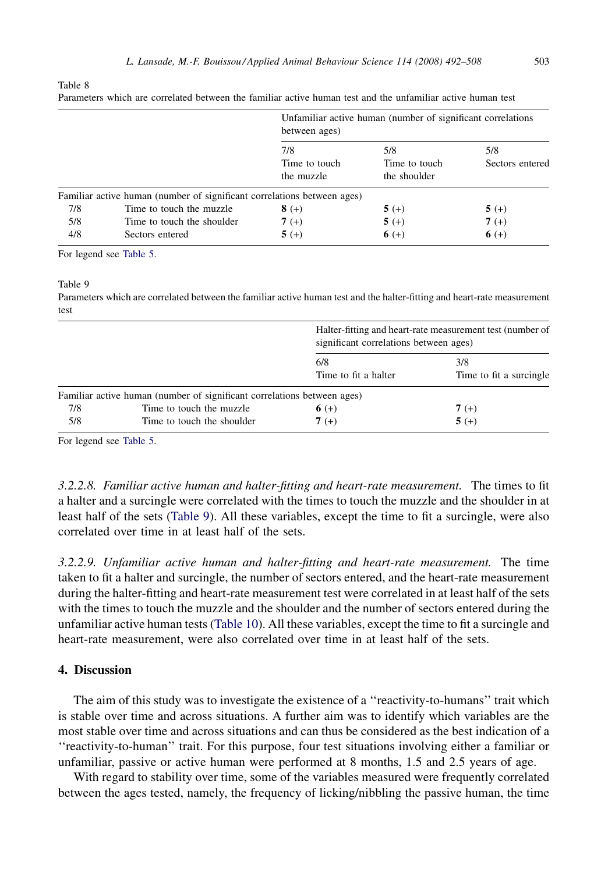<span id="page-12-0"></span>Table 8

|     |                                                                         | Unfamiliar active human (number of significant correlations)<br>between ages) |                                      |                        |  |
|-----|-------------------------------------------------------------------------|-------------------------------------------------------------------------------|--------------------------------------|------------------------|--|
|     |                                                                         | 7/8<br>Time to touch<br>the muzzle                                            | 5/8<br>Time to touch<br>the shoulder | 5/8<br>Sectors entered |  |
|     | Familiar active human (number of significant correlations between ages) |                                                                               |                                      |                        |  |
| 7/8 | Time to touch the muzzle                                                | $8 (+)$                                                                       | $5(+)$                               | $5(+)$                 |  |
| 5/8 | Time to touch the shoulder                                              | $7 (+)$                                                                       | $5(+)$                               | $7(+)$                 |  |
| 4/8 | Sectors entered                                                         | $5(+)$                                                                        | $6 (+)$                              | 6 $(+)$                |  |

Parameters which are correlated between the familiar active human test and the unfamiliar active human test

For legend see [Table 5.](#page-10-0)

#### Table 9

Parameters which are correlated between the familiar active human test and the halter-fitting and heart-rate measurement test

|     |                                                                                                     | Halter-fitting and heart-rate measurement test (number of<br>significant correlations between ages) |                                |  |
|-----|-----------------------------------------------------------------------------------------------------|-----------------------------------------------------------------------------------------------------|--------------------------------|--|
|     |                                                                                                     | 6/8<br>Time to fit a halter                                                                         | 3/8<br>Time to fit a surcingle |  |
| 7/8 | Familiar active human (number of significant correlations between ages)<br>Time to touch the muzzle | $6 (+)$                                                                                             | $7(+)$                         |  |
| 5/8 | Time to touch the shoulder                                                                          | $7(+)$                                                                                              | $5(+)$                         |  |

For legend see [Table 5.](#page-10-0)

3.2.2.8. Familiar active human and halter-fitting and heart-rate measurement. The times to fit a halter and a surcingle were correlated with the times to touch the muzzle and the shoulder in at least half of the sets (Table 9). All these variables, except the time to fit a surcingle, were also correlated over time in at least half of the sets.

3.2.2.9. Unfamiliar active human and halter-fitting and heart-rate measurement. The time taken to fit a halter and surcingle, the number of sectors entered, and the heart-rate measurement during the halter-fitting and heart-rate measurement test were correlated in at least half of the sets with the times to touch the muzzle and the shoulder and the number of sectors entered during the unfamiliar active human tests ([Table 10](#page-13-0)). All these variables, except the time to fit a surcingle and heart-rate measurement, were also correlated over time in at least half of the sets.

#### 4. Discussion

The aim of this study was to investigate the existence of a ''reactivity-to-humans'' trait which is stable over time and across situations. A further aim was to identify which variables are the most stable over time and across situations and can thus be considered as the best indication of a ''reactivity-to-human'' trait. For this purpose, four test situations involving either a familiar or unfamiliar, passive or active human were performed at 8 months, 1.5 and 2.5 years of age.

With regard to stability over time, some of the variables measured were frequently correlated between the ages tested, namely, the frequency of licking/nibbling the passive human, the time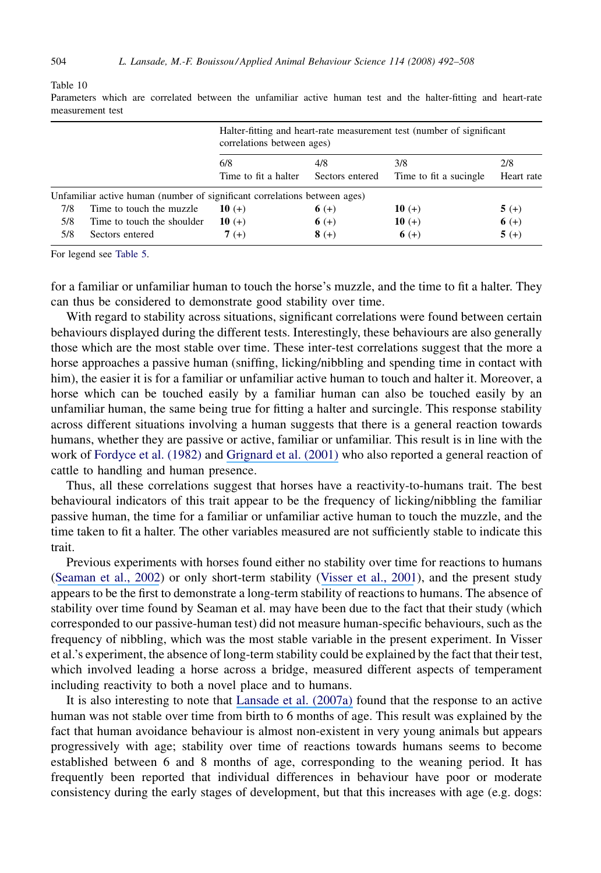<span id="page-13-0"></span>Table 10

|     |                                                                           | Halter-fitting and heart-rate measurement test (number of significant<br>correlations between ages) |                        |                               |                   |  |
|-----|---------------------------------------------------------------------------|-----------------------------------------------------------------------------------------------------|------------------------|-------------------------------|-------------------|--|
|     |                                                                           | 6/8<br>Time to fit a halter                                                                         | 4/8<br>Sectors entered | 3/8<br>Time to fit a sucingle | 2/8<br>Heart rate |  |
|     | Unfamiliar active human (number of significant correlations between ages) |                                                                                                     |                        |                               |                   |  |
| 7/8 | Time to touch the muzzle                                                  | $10 (+)$                                                                                            | $6 (+)$                | $10 (+)$                      | $5(+)$            |  |
| 5/8 | Time to touch the shoulder                                                | $10 (+)$                                                                                            | $6 (+)$                | $10 (+)$                      | $6 (+)$           |  |
| 5/8 | Sectors entered                                                           | $7 (+)$                                                                                             | $8 (+)$                | $6 (+)$                       | $5(+)$            |  |

Parameters which are correlated between the unfamiliar active human test and the halter-fitting and heart-rate measurement test

For legend see [Table 5](#page-10-0).

for a familiar or unfamiliar human to touch the horse's muzzle, and the time to fit a halter. They can thus be considered to demonstrate good stability over time.

With regard to stability across situations, significant correlations were found between certain behaviours displayed during the different tests. Interestingly, these behaviours are also generally those which are the most stable over time. These inter-test correlations suggest that the more a horse approaches a passive human (sniffing, licking/nibbling and spending time in contact with him), the easier it is for a familiar or unfamiliar active human to touch and halter it. Moreover, a horse which can be touched easily by a familiar human can also be touched easily by an unfamiliar human, the same being true for fitting a halter and surcingle. This response stability across different situations involving a human suggests that there is a general reaction towards humans, whether they are passive or active, familiar or unfamiliar. This result is in line with the work of [Fordyce et al. \(1982\)](#page-15-0) and [Grignard et al. \(2001\)](#page-15-0) who also reported a general reaction of cattle to handling and human presence.

Thus, all these correlations suggest that horses have a reactivity-to-humans trait. The best behavioural indicators of this trait appear to be the frequency of licking/nibbling the familiar passive human, the time for a familiar or unfamiliar active human to touch the muzzle, and the time taken to fit a halter. The other variables measured are not sufficiently stable to indicate this trait.

Previous experiments with horses found either no stability over time for reactions to humans [\(Seaman et al., 2002\)](#page-16-0) or only short-term stability ([Visser et al., 2001\)](#page-17-0), and the present study appears to be the first to demonstrate a long-term stability of reactions to humans. The absence of stability over time found by Seaman et al. may have been due to the fact that their study (which corresponded to our passive-human test) did not measure human-specific behaviours, such as the frequency of nibbling, which was the most stable variable in the present experiment. In Visser et al.'s experiment, the absence of long-term stability could be explained by the fact that their test, which involved leading a horse across a bridge, measured different aspects of temperament including reactivity to both a novel place and to humans.

It is also interesting to note that [Lansade et al. \(2007a\)](#page-16-0) found that the response to an active human was not stable over time from birth to 6 months of age. This result was explained by the fact that human avoidance behaviour is almost non-existent in very young animals but appears progressively with age; stability over time of reactions towards humans seems to become established between 6 and 8 months of age, corresponding to the weaning period. It has frequently been reported that individual differences in behaviour have poor or moderate consistency during the early stages of development, but that this increases with age (e.g. dogs: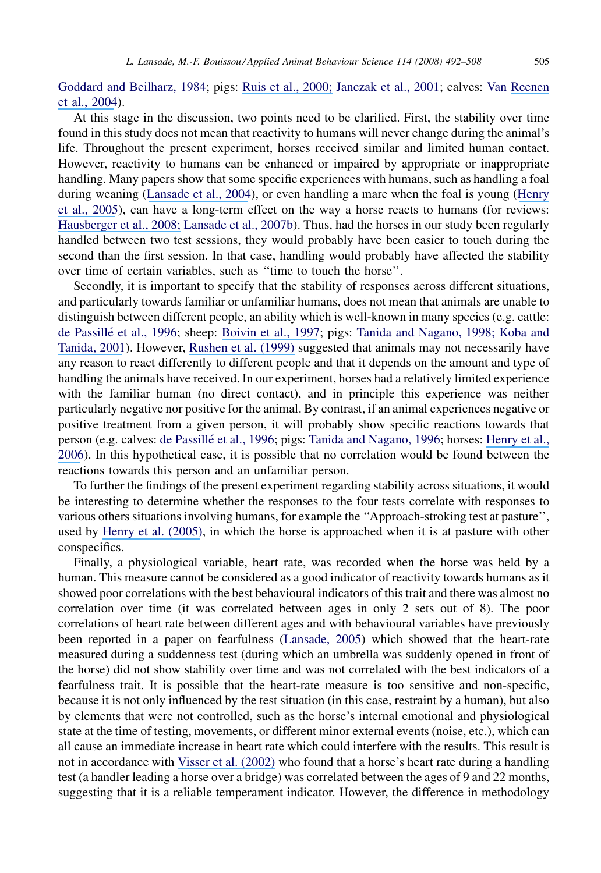[Goddard and Beilharz, 1984](#page-15-0); pigs: [Ruis et al., 2000; Janczak et al., 2001](#page-16-0); calves: [Van Reenen](#page-17-0) [et al., 2004\)](#page-17-0).

At this stage in the discussion, two points need to be clarified. First, the stability over time found in this study does not mean that reactivity to humans will never change during the animal's life. Throughout the present experiment, horses received similar and limited human contact. However, reactivity to humans can be enhanced or impaired by appropriate or inappropriate handling. Many papers show that some specific experiences with humans, such as handling a foal during weaning [\(Lansade et al., 2004\)](#page-16-0), or even handling a mare when the foal is young ([Henry](#page-16-0) [et al., 2005](#page-16-0)), can have a long-term effect on the way a horse reacts to humans (for reviews: [Hausberger et al., 2008; Lansade et al., 2007b](#page-16-0)). Thus, had the horses in our study been regularly handled between two test sessions, they would probably have been easier to touch during the second than the first session. In that case, handling would probably have affected the stability over time of certain variables, such as ''time to touch the horse''.

Secondly, it is important to specify that the stability of responses across different situations, and particularly towards familiar or unfamiliar humans, does not mean that animals are unable to distinguish between different people, an ability which is well-known in many species (e.g. cattle: de Passillé [et al., 1996;](#page-15-0) sheep: [Boivin et al., 1997](#page-15-0); pigs: [Tanida and Nagano, 1998; Koba and](#page-17-0) [Tanida, 2001\)](#page-17-0). However, [Rushen et al. \(1999\)](#page-16-0) suggested that animals may not necessarily have any reason to react differently to different people and that it depends on the amount and type of handling the animals have received. In our experiment, horses had a relatively limited experience with the familiar human (no direct contact), and in principle this experience was neither particularly negative nor positive for the animal. By contrast, if an animal experiences negative or positive treatment from a given person, it will probably show specific reactions towards that person (e.g. calves: de Passillé [et al., 1996;](#page-15-0) pigs: [Tanida and Nagano, 1996;](#page-17-0) horses: [Henry et al.,](#page-16-0) [2006](#page-16-0)). In this hypothetical case, it is possible that no correlation would be found between the reactions towards this person and an unfamiliar person.

To further the findings of the present experiment regarding stability across situations, it would be interesting to determine whether the responses to the four tests correlate with responses to various others situations involving humans, for example the ''Approach-stroking test at pasture'', used by [Henry et al. \(2005\),](#page-16-0) in which the horse is approached when it is at pasture with other conspecifics.

Finally, a physiological variable, heart rate, was recorded when the horse was held by a human. This measure cannot be considered as a good indicator of reactivity towards humans as it showed poor correlations with the best behavioural indicators of this trait and there was almost no correlation over time (it was correlated between ages in only 2 sets out of 8). The poor correlations of heart rate between different ages and with behavioural variables have previously been reported in a paper on fearfulness [\(Lansade, 2005](#page-16-0)) which showed that the heart-rate measured during a suddenness test (during which an umbrella was suddenly opened in front of the horse) did not show stability over time and was not correlated with the best indicators of a fearfulness trait. It is possible that the heart-rate measure is too sensitive and non-specific, because it is not only influenced by the test situation (in this case, restraint by a human), but also by elements that were not controlled, such as the horse's internal emotional and physiological state at the time of testing, movements, or different minor external events (noise, etc.), which can all cause an immediate increase in heart rate which could interfere with the results. This result is not in accordance with [Visser et al. \(2002\)](#page-17-0) who found that a horse's heart rate during a handling test (a handler leading a horse over a bridge) was correlated between the ages of 9 and 22 months, suggesting that it is a reliable temperament indicator. However, the difference in methodology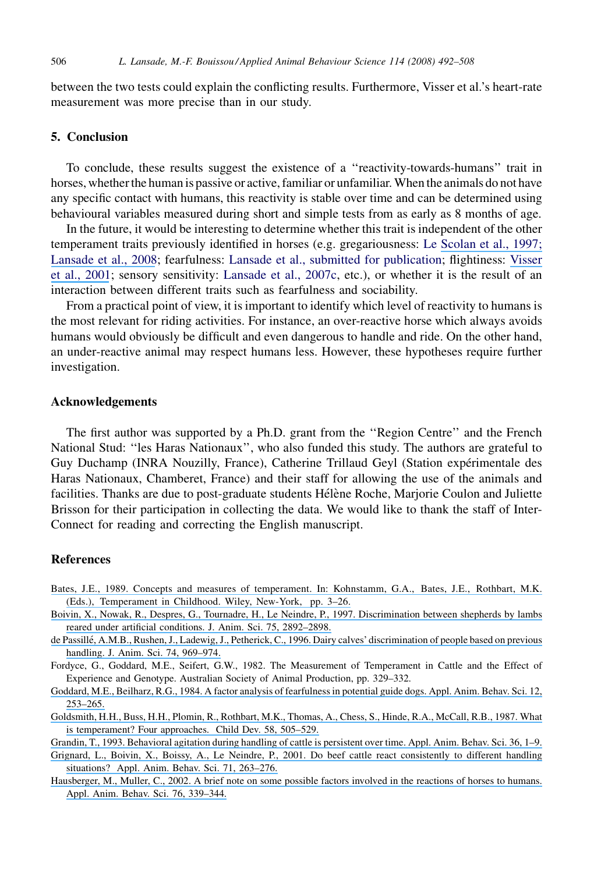<span id="page-15-0"></span>between the two tests could explain the conflicting results. Furthermore, Visser et al.'s heart-rate measurement was more precise than in our study.

#### 5. Conclusion

To conclude, these results suggest the existence of a ''reactivity-towards-humans'' trait in horses, whether the human is passive or active, familiar or unfamiliar. When the animals do not have any specific contact with humans, this reactivity is stable over time and can be determined using behavioural variables measured during short and simple tests from as early as 8 months of age.

In the future, it would be interesting to determine whether this trait is independent of the other temperament traits previously identified in horses (e.g. gregariousness: [Le Scolan et al., 1997;](#page-16-0) [Lansade et al., 2008](#page-16-0); fearfulness: [Lansade et al., submitted for publication](#page-16-0); flightiness: [Visser](#page-17-0) [et al., 2001](#page-17-0); sensory sensitivity: [Lansade et al., 2007c](#page-16-0), etc.), or whether it is the result of an interaction between different traits such as fearfulness and sociability.

From a practical point of view, it is important to identify which level of reactivity to humans is the most relevant for riding activities. For instance, an over-reactive horse which always avoids humans would obviously be difficult and even dangerous to handle and ride. On the other hand, an under-reactive animal may respect humans less. However, these hypotheses require further investigation.

#### Acknowledgements

The first author was supported by a Ph.D. grant from the ''Region Centre'' and the French National Stud: ''les Haras Nationaux'', who also funded this study. The authors are grateful to Guy Duchamp (INRA Nouzilly, France), Catherine Trillaud Geyl (Station expérimentale des Haras Nationaux, Chamberet, France) and their staff for allowing the use of the animals and facilities. Thanks are due to post-graduate students Hélène Roche, Marjorie Coulon and Juliette Brisson for their participation in collecting the data. We would like to thank the staff of Inter-Connect for reading and correcting the English manuscript.

#### References

- [Bates, J.E., 1989. Concepts and measures of temperament. In: Kohnstamm, G.A., Bates, J.E., Rothbart, M.K.](https://www.researchgate.net/publication/232588055_Concepts_and_measures_of_temperament?el=1_x_8&enrichId=rgreq-add8c613710386a6655018b3f63210b0-XXX&enrichSource=Y292ZXJQYWdlOzI0ODMzNjEzNztBUzoxNTMyOTcwOTI2MTYxOTNAMTQxMzU2MDI4MzQwMA==) [\(Eds.\), Temperament in Childhood. Wiley,](https://www.researchgate.net/publication/232588055_Concepts_and_measures_of_temperament?el=1_x_8&enrichId=rgreq-add8c613710386a6655018b3f63210b0-XXX&enrichSource=Y292ZXJQYWdlOzI0ODMzNjEzNztBUzoxNTMyOTcwOTI2MTYxOTNAMTQxMzU2MDI4MzQwMA==) New-York, pp. 3–26.
- [Boivin, X., Nowak, R., Despres, G., Tournadre, H., Le Neindre, P., 1997. Discrimination between shepherds by lambs](https://www.researchgate.net/publication/13856250_Discrimination_between_Shepherds_by_Lambs_Reared_under_Artificial_Conditions?el=1_x_8&enrichId=rgreq-add8c613710386a6655018b3f63210b0-XXX&enrichSource=Y292ZXJQYWdlOzI0ODMzNjEzNztBUzoxNTMyOTcwOTI2MTYxOTNAMTQxMzU2MDI4MzQwMA==) [reared under artificial conditions. J. Anim. Sci. 75, 2892–2898.](https://www.researchgate.net/publication/13856250_Discrimination_between_Shepherds_by_Lambs_Reared_under_Artificial_Conditions?el=1_x_8&enrichId=rgreq-add8c613710386a6655018b3f63210b0-XXX&enrichSource=Y292ZXJQYWdlOzI0ODMzNjEzNztBUzoxNTMyOTcwOTI2MTYxOTNAMTQxMzU2MDI4MzQwMA==)
- [de Passille´, A.M.B., Rushen, J., Ladewig, J., Petherick, C., 1996. Dairy calves' discrimination of people based on previous](https://www.researchgate.net/publication/14475173_Dairy_Calves) [handling. J. Anim. Sci. 74, 969–974.](https://www.researchgate.net/publication/14475173_Dairy_Calves)

Fordyce, G., Goddard, M.E., Seifert, G.W., 1982. The Measurement of Temperament in Cattle and the Effect of Experience and Genotype. Australian Society of Animal Production, pp. 329–332.

[Goddard, M.E., Beilharz, R.G., 1984. A factor analysis of fearfulness in potential guide dogs. Appl. Anim. Behav. Sci. 12,](https://www.researchgate.net/publication/248334336_Factor_analysis_of_fearfulness_in_potential_guide_dogs?el=1_x_8&enrichId=rgreq-add8c613710386a6655018b3f63210b0-XXX&enrichSource=Y292ZXJQYWdlOzI0ODMzNjEzNztBUzoxNTMyOTcwOTI2MTYxOTNAMTQxMzU2MDI4MzQwMA==) [253–265.](https://www.researchgate.net/publication/248334336_Factor_analysis_of_fearfulness_in_potential_guide_dogs?el=1_x_8&enrichId=rgreq-add8c613710386a6655018b3f63210b0-XXX&enrichSource=Y292ZXJQYWdlOzI0ODMzNjEzNztBUzoxNTMyOTcwOTI2MTYxOTNAMTQxMzU2MDI4MzQwMA==)

[Goldsmith, H.H., Buss, H.H., Plomin, R., Rothbart, M.K., Thomas, A., Chess, S., Hinde, R.A., McCall, R.B., 1987. What](https://www.researchgate.net/publication/19331728_What_Is_Temperament_Four_Approaches?el=1_x_8&enrichId=rgreq-add8c613710386a6655018b3f63210b0-XXX&enrichSource=Y292ZXJQYWdlOzI0ODMzNjEzNztBUzoxNTMyOTcwOTI2MTYxOTNAMTQxMzU2MDI4MzQwMA==) [is temperament? Four approaches. Child Dev. 58, 505–529.](https://www.researchgate.net/publication/19331728_What_Is_Temperament_Four_Approaches?el=1_x_8&enrichId=rgreq-add8c613710386a6655018b3f63210b0-XXX&enrichSource=Y292ZXJQYWdlOzI0ODMzNjEzNztBUzoxNTMyOTcwOTI2MTYxOTNAMTQxMzU2MDI4MzQwMA==)

[Grandin, T., 1993. Behavioral agitation during handling of cattle is persistent over time. Appl. Anim. Behav. Sci. 36, 1–9.](https://www.researchgate.net/publication/248333911_Behavioral_agitation_during_handling_of_cattle_is_persistent_over_time?el=1_x_8&enrichId=rgreq-add8c613710386a6655018b3f63210b0-XXX&enrichSource=Y292ZXJQYWdlOzI0ODMzNjEzNztBUzoxNTMyOTcwOTI2MTYxOTNAMTQxMzU2MDI4MzQwMA==)

[Grignard, L., Boivin, X., Boissy, A., Le Neindre, P., 2001. Do beef cattle react consistently to different handling](https://www.researchgate.net/publication/12084733_Do_beef_cattle_react_consistently_to_different_handling_situations?el=1_x_8&enrichId=rgreq-add8c613710386a6655018b3f63210b0-XXX&enrichSource=Y292ZXJQYWdlOzI0ODMzNjEzNztBUzoxNTMyOTcwOTI2MTYxOTNAMTQxMzU2MDI4MzQwMA==) [situations? Appl. Anim. Behav. Sci. 71, 263–276.](https://www.researchgate.net/publication/12084733_Do_beef_cattle_react_consistently_to_different_handling_situations?el=1_x_8&enrichId=rgreq-add8c613710386a6655018b3f63210b0-XXX&enrichSource=Y292ZXJQYWdlOzI0ODMzNjEzNztBUzoxNTMyOTcwOTI2MTYxOTNAMTQxMzU2MDI4MzQwMA==)

[Hausberger, M., Muller, C., 2002. A brief note on some possible factors involved in the reactions of horses to humans.](https://www.researchgate.net/publication/248335144_A_brief_note_on_some_possible_factors_involved_in_the_reactions_of_horses_to_humans?el=1_x_8&enrichId=rgreq-add8c613710386a6655018b3f63210b0-XXX&enrichSource=Y292ZXJQYWdlOzI0ODMzNjEzNztBUzoxNTMyOTcwOTI2MTYxOTNAMTQxMzU2MDI4MzQwMA==) [Appl. Anim. Behav. Sci. 76, 339–344.](https://www.researchgate.net/publication/248335144_A_brief_note_on_some_possible_factors_involved_in_the_reactions_of_horses_to_humans?el=1_x_8&enrichId=rgreq-add8c613710386a6655018b3f63210b0-XXX&enrichSource=Y292ZXJQYWdlOzI0ODMzNjEzNztBUzoxNTMyOTcwOTI2MTYxOTNAMTQxMzU2MDI4MzQwMA==)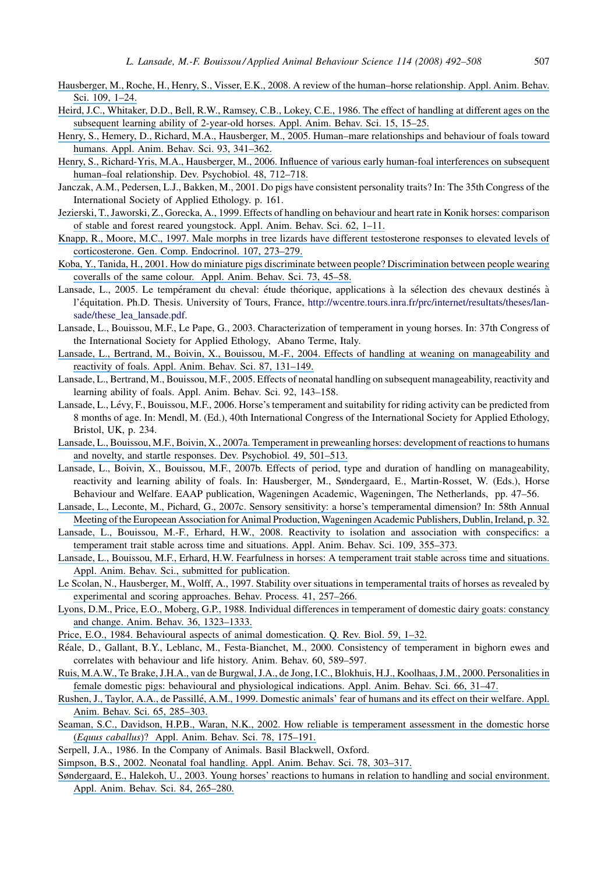- <span id="page-16-0"></span>[Hausberger, M., Roche, H., Henry, S., Visser, E.K., 2008. A review of the human–horse relationship. Appl. Anim. Behav.](https://www.researchgate.net/publication/240398379_A_review_of_the_human-horse_relationship?el=1_x_8&enrichId=rgreq-add8c613710386a6655018b3f63210b0-XXX&enrichSource=Y292ZXJQYWdlOzI0ODMzNjEzNztBUzoxNTMyOTcwOTI2MTYxOTNAMTQxMzU2MDI4MzQwMA==) [Sci. 109, 1–24.](https://www.researchgate.net/publication/240398379_A_review_of_the_human-horse_relationship?el=1_x_8&enrichId=rgreq-add8c613710386a6655018b3f63210b0-XXX&enrichSource=Y292ZXJQYWdlOzI0ODMzNjEzNztBUzoxNTMyOTcwOTI2MTYxOTNAMTQxMzU2MDI4MzQwMA==)
- [Heird, J.C., Whitaker, D.D., Bell, R.W., Ramsey, C.B., Lokey, C.E., 1986. The effect of handling at different ages on the](https://www.researchgate.net/publication/277481319_The_effect_of_handling_at_different_ages_on_the_subsequent_learning_ability_of_2-year-old_horses?el=1_x_8&enrichId=rgreq-add8c613710386a6655018b3f63210b0-XXX&enrichSource=Y292ZXJQYWdlOzI0ODMzNjEzNztBUzoxNTMyOTcwOTI2MTYxOTNAMTQxMzU2MDI4MzQwMA==) [subsequent learning ability of 2-year-old horses. Appl. Anim. Behav. Sci. 15, 15–25.](https://www.researchgate.net/publication/277481319_The_effect_of_handling_at_different_ages_on_the_subsequent_learning_ability_of_2-year-old_horses?el=1_x_8&enrichId=rgreq-add8c613710386a6655018b3f63210b0-XXX&enrichSource=Y292ZXJQYWdlOzI0ODMzNjEzNztBUzoxNTMyOTcwOTI2MTYxOTNAMTQxMzU2MDI4MzQwMA==)
- [Henry, S., Hemery, D., Richard, M.A., Hausberger, M., 2005. Human–mare relationships and behaviour of foals toward](https://www.researchgate.net/publication/248335177_Human-mare_relationships_and_behaviour_of_foals_toward_humans?el=1_x_8&enrichId=rgreq-add8c613710386a6655018b3f63210b0-XXX&enrichSource=Y292ZXJQYWdlOzI0ODMzNjEzNztBUzoxNTMyOTcwOTI2MTYxOTNAMTQxMzU2MDI4MzQwMA==) [humans. Appl. Anim. Behav. Sci. 93, 341–362.](https://www.researchgate.net/publication/248335177_Human-mare_relationships_and_behaviour_of_foals_toward_humans?el=1_x_8&enrichId=rgreq-add8c613710386a6655018b3f63210b0-XXX&enrichSource=Y292ZXJQYWdlOzI0ODMzNjEzNztBUzoxNTMyOTcwOTI2MTYxOTNAMTQxMzU2MDI4MzQwMA==)
- [Henry, S., Richard-Yris, M.A., Hausberger, M., 2006. Influence of various early human-foal interferences on subsequent](https://www.researchgate.net/publication/6687300_Influence_of_various_early_human-foal_interferences_on_subsequent_human-foal_relationship?el=1_x_8&enrichId=rgreq-add8c613710386a6655018b3f63210b0-XXX&enrichSource=Y292ZXJQYWdlOzI0ODMzNjEzNztBUzoxNTMyOTcwOTI2MTYxOTNAMTQxMzU2MDI4MzQwMA==) [human–foal relationship. Dev. Psychobiol. 48, 712–718.](https://www.researchgate.net/publication/6687300_Influence_of_various_early_human-foal_interferences_on_subsequent_human-foal_relationship?el=1_x_8&enrichId=rgreq-add8c613710386a6655018b3f63210b0-XXX&enrichSource=Y292ZXJQYWdlOzI0ODMzNjEzNztBUzoxNTMyOTcwOTI2MTYxOTNAMTQxMzU2MDI4MzQwMA==)
- Janczak, A.M., Pedersen, L.J., Bakken, M., 2001. Do pigs have consistent personality traits? In: The 35th Congress of the International Society of Applied Ethology. p. 161.
- [Jezierski, T., Jaworski, Z., Gorecka, A., 1999. Effects of handling on behaviour and heart rate in Konik horses: comparison](https://www.researchgate.net/publication/248335611_Effects_of_handling_on_behaviour_and_heart_rate_in_Konik_horses_Comparison_of_stable_and_forest_reared_youngstock?el=1_x_8&enrichId=rgreq-add8c613710386a6655018b3f63210b0-XXX&enrichSource=Y292ZXJQYWdlOzI0ODMzNjEzNztBUzoxNTMyOTcwOTI2MTYxOTNAMTQxMzU2MDI4MzQwMA==) [of stable and forest reared youngstock. Appl. Anim. Behav. Sci. 62, 1–11.](https://www.researchgate.net/publication/248335611_Effects_of_handling_on_behaviour_and_heart_rate_in_Konik_horses_Comparison_of_stable_and_forest_reared_youngstock?el=1_x_8&enrichId=rgreq-add8c613710386a6655018b3f63210b0-XXX&enrichSource=Y292ZXJQYWdlOzI0ODMzNjEzNztBUzoxNTMyOTcwOTI2MTYxOTNAMTQxMzU2MDI4MzQwMA==)
- [Knapp, R., Moore, M.C., 1997. Male morphs in tree lizards have different testosterone responses to elevated levels of](https://www.researchgate.net/publication/223878911_Male_Morphs_in_Tree_Lizards_Have_Different_Testosterone_Responses_to_Elevated_Levels_of_Corticosterone?el=1_x_8&enrichId=rgreq-add8c613710386a6655018b3f63210b0-XXX&enrichSource=Y292ZXJQYWdlOzI0ODMzNjEzNztBUzoxNTMyOTcwOTI2MTYxOTNAMTQxMzU2MDI4MzQwMA==) [corticosterone. Gen. Comp. Endocrinol. 107, 273–279.](https://www.researchgate.net/publication/223878911_Male_Morphs_in_Tree_Lizards_Have_Different_Testosterone_Responses_to_Elevated_Levels_of_Corticosterone?el=1_x_8&enrichId=rgreq-add8c613710386a6655018b3f63210b0-XXX&enrichSource=Y292ZXJQYWdlOzI0ODMzNjEzNztBUzoxNTMyOTcwOTI2MTYxOTNAMTQxMzU2MDI4MzQwMA==)
- [Koba, Y., Tanida, H., 2001. How do miniature pigs discriminate between people? Discrimination between people wearing](https://www.researchgate.net/publication/11982244_How_do_miniature_pigs_discriminate_between_people_Discrimination_between_people_wearing_coveralls_of_the_same_colour?el=1_x_8&enrichId=rgreq-add8c613710386a6655018b3f63210b0-XXX&enrichSource=Y292ZXJQYWdlOzI0ODMzNjEzNztBUzoxNTMyOTcwOTI2MTYxOTNAMTQxMzU2MDI4MzQwMA==) [coveralls of the same colour. Appl. Anim. Behav. Sci. 73, 45–58.](https://www.researchgate.net/publication/11982244_How_do_miniature_pigs_discriminate_between_people_Discrimination_between_people_wearing_coveralls_of_the_same_colour?el=1_x_8&enrichId=rgreq-add8c613710386a6655018b3f63210b0-XXX&enrichSource=Y292ZXJQYWdlOzI0ODMzNjEzNztBUzoxNTMyOTcwOTI2MTYxOTNAMTQxMzU2MDI4MzQwMA==)
- Lansade, L., 2005. Le tempérament du cheval: étude théorique, applications à la sélection des chevaux destinés à l'équitation. Ph.D. Thesis. University of Tours, France, [http://wcentre.tours.inra.fr/prc/internet/resultats/theses/lan](http://wcentre.tours.inra.fr/prc/internet/resultats/theses/lansade/these_lea_lansade.pdf)sade/these lea lansade.pdf.
- Lansade, L., Bouissou, M.F., Le Pape, G., 2003. Characterization of temperament in young horses. In: 37th Congress of the International Society for Applied Ethology, Abano Terme, Italy.
- [Lansade, L., Bertrand, M., Boivin, X., Bouissou, M.-F., 2004. Effects of handling at weaning on manageability and](https://www.researchgate.net/publication/228816570_Effects_of_handling_at_weaning_on_manageability_and_reactivity_of_foals?el=1_x_8&enrichId=rgreq-add8c613710386a6655018b3f63210b0-XXX&enrichSource=Y292ZXJQYWdlOzI0ODMzNjEzNztBUzoxNTMyOTcwOTI2MTYxOTNAMTQxMzU2MDI4MzQwMA==) [reactivity of foals. Appl. Anim. Behav. Sci. 87, 131–149.](https://www.researchgate.net/publication/228816570_Effects_of_handling_at_weaning_on_manageability_and_reactivity_of_foals?el=1_x_8&enrichId=rgreq-add8c613710386a6655018b3f63210b0-XXX&enrichSource=Y292ZXJQYWdlOzI0ODMzNjEzNztBUzoxNTMyOTcwOTI2MTYxOTNAMTQxMzU2MDI4MzQwMA==)
- Lansade, L., Bertrand, M., Bouissou, M.F., 2005. Effects of neonatal handling on subsequent manageability, reactivity and learning ability of foals. Appl. Anim. Behav. Sci. 92, 143–158.
- Lansade, L., Le´vy, F., Bouissou, M.F., 2006. Horse's temperament and suitability for riding activity can be predicted from 8 months of age. In: Mendl, M. (Ed.), 40th International Congress of the International Society for Applied Ethology, Bristol, UK, p. 234.
- [Lansade, L., Bouissou, M.F., Boivin, X., 2007a. Temperament in preweanling horses: development of reactions to humans](https://www.researchgate.net/publication/6260396_Temperament_in_preweanling_horses_Development_of_reactions_to_humans_and_novelty_and_startle_responses?el=1_x_8&enrichId=rgreq-add8c613710386a6655018b3f63210b0-XXX&enrichSource=Y292ZXJQYWdlOzI0ODMzNjEzNztBUzoxNTMyOTcwOTI2MTYxOTNAMTQxMzU2MDI4MzQwMA==) [and novelty, and startle responses. Dev. Psychobiol. 49, 501–513.](https://www.researchgate.net/publication/6260396_Temperament_in_preweanling_horses_Development_of_reactions_to_humans_and_novelty_and_startle_responses?el=1_x_8&enrichId=rgreq-add8c613710386a6655018b3f63210b0-XXX&enrichSource=Y292ZXJQYWdlOzI0ODMzNjEzNztBUzoxNTMyOTcwOTI2MTYxOTNAMTQxMzU2MDI4MzQwMA==)
- Lansade, L., Boivin, X., Bouissou, M.F., 2007b. Effects of period, type and duration of handling on manageability, reactivity and learning ability of foals. In: Hausberger, M., Søndergaard, E., Martin-Rosset, W. (Eds.), Horse Behaviour and Welfare. EAAP publication, Wageningen Academic, Wageningen, The Netherlands, pp. 47–56.
- [Lansade, L., Leconte, M., Pichard, G., 2007c. Sensory sensitivity: a horse's temperamental dimension? In: 58th Annual](https://www.researchgate.net/publication/248336141_Sensory_sensitivities_Components_of_a_horse) [Meeting of the Europeean Association for Animal Production, Wageningen Academic Publishers, Dublin, Ireland, p. 32.](https://www.researchgate.net/publication/248336141_Sensory_sensitivities_Components_of_a_horse)
- [Lansade, L., Bouissou, M.-F., Erhard, H.W., 2008. Reactivity to isolation and association with conspecifics: a](https://www.researchgate.net/publication/248336098_Reactivity_to_isolation_and_association_with_conspecifics_A_temperament_trait_stable_across_time_and_situations?el=1_x_8&enrichId=rgreq-add8c613710386a6655018b3f63210b0-XXX&enrichSource=Y292ZXJQYWdlOzI0ODMzNjEzNztBUzoxNTMyOTcwOTI2MTYxOTNAMTQxMzU2MDI4MzQwMA==) [temperament trait stable across time and situations. Appl. Anim. Behav. Sci. 109, 355–373.](https://www.researchgate.net/publication/248336098_Reactivity_to_isolation_and_association_with_conspecifics_A_temperament_trait_stable_across_time_and_situations?el=1_x_8&enrichId=rgreq-add8c613710386a6655018b3f63210b0-XXX&enrichSource=Y292ZXJQYWdlOzI0ODMzNjEzNztBUzoxNTMyOTcwOTI2MTYxOTNAMTQxMzU2MDI4MzQwMA==)
- [Lansade, L., Bouissou, M.F., Erhard, H.W. Fearfulness in horses: A temperament trait stable across time and situations.](https://www.researchgate.net/publication/248336155_Fearfulness_in_horses_A_temperament_trait_stable_across_time_and_situations?el=1_x_8&enrichId=rgreq-add8c613710386a6655018b3f63210b0-XXX&enrichSource=Y292ZXJQYWdlOzI0ODMzNjEzNztBUzoxNTMyOTcwOTI2MTYxOTNAMTQxMzU2MDI4MzQwMA==) [Appl. Anim. Behav. Sci., submitted for publication.](https://www.researchgate.net/publication/248336155_Fearfulness_in_horses_A_temperament_trait_stable_across_time_and_situations?el=1_x_8&enrichId=rgreq-add8c613710386a6655018b3f63210b0-XXX&enrichSource=Y292ZXJQYWdlOzI0ODMzNjEzNztBUzoxNTMyOTcwOTI2MTYxOTNAMTQxMzU2MDI4MzQwMA==)
- [Le Scolan, N., Hausberger, M., Wolff, A., 1997. Stability over situations in temperamental traits of horses as revealed by](https://www.researchgate.net/publication/222493795_Stability_over_situations_in_temperamental_traits_of_horses_as_revealed_by_experimental_and_scoring_approaches?el=1_x_8&enrichId=rgreq-add8c613710386a6655018b3f63210b0-XXX&enrichSource=Y292ZXJQYWdlOzI0ODMzNjEzNztBUzoxNTMyOTcwOTI2MTYxOTNAMTQxMzU2MDI4MzQwMA==) [experimental and scoring approaches. Behav. Process. 41, 257–266.](https://www.researchgate.net/publication/222493795_Stability_over_situations_in_temperamental_traits_of_horses_as_revealed_by_experimental_and_scoring_approaches?el=1_x_8&enrichId=rgreq-add8c613710386a6655018b3f63210b0-XXX&enrichSource=Y292ZXJQYWdlOzI0ODMzNjEzNztBUzoxNTMyOTcwOTI2MTYxOTNAMTQxMzU2MDI4MzQwMA==)
- [Lyons, D.M., Price, E.O., Moberg, G.P., 1988. Individual differences in temperament of domestic dairy goats: constancy](https://www.researchgate.net/publication/222971458_Individual_differences_in_temperament_of_domestic_dairy_goats_constancy_and_change?el=1_x_8&enrichId=rgreq-add8c613710386a6655018b3f63210b0-XXX&enrichSource=Y292ZXJQYWdlOzI0ODMzNjEzNztBUzoxNTMyOTcwOTI2MTYxOTNAMTQxMzU2MDI4MzQwMA==) [and change. Anim. Behav. 36, 1323–1333.](https://www.researchgate.net/publication/222971458_Individual_differences_in_temperament_of_domestic_dairy_goats_constancy_and_change?el=1_x_8&enrichId=rgreq-add8c613710386a6655018b3f63210b0-XXX&enrichSource=Y292ZXJQYWdlOzI0ODMzNjEzNztBUzoxNTMyOTcwOTI2MTYxOTNAMTQxMzU2MDI4MzQwMA==)
- [Price, E.O., 1984. Behavioural aspects of animal domestication. Q. Rev. Biol. 59, 1–32.](https://www.researchgate.net/publication/240245747_Behavioral_Aspects_of_Animal_Domestication?el=1_x_8&enrichId=rgreq-add8c613710386a6655018b3f63210b0-XXX&enrichSource=Y292ZXJQYWdlOzI0ODMzNjEzNztBUzoxNTMyOTcwOTI2MTYxOTNAMTQxMzU2MDI4MzQwMA==)
- Réale, D., Gallant, B.Y., Leblanc, M., Festa-Bianchet, M., 2000. Consistency of temperament in bighorn ewes and correlates with behaviour and life history. Anim. Behav. 60, 589–597.
- [Ruis, M.A.W., Te Brake, J.H.A., van de Burgwal, J.A., de Jong, I.C., Blokhuis, H.J., Koolhaas, J.M., 2000. Personalities in](https://www.researchgate.net/publication/41886294_Personalities_in_female_domesticated_pigs_Behavioural_and_physiological_indications?el=1_x_8&enrichId=rgreq-add8c613710386a6655018b3f63210b0-XXX&enrichSource=Y292ZXJQYWdlOzI0ODMzNjEzNztBUzoxNTMyOTcwOTI2MTYxOTNAMTQxMzU2MDI4MzQwMA==) [female domestic pigs: behavioural and physiological indications. Appl. Anim. Behav. Sci. 66, 31–47.](https://www.researchgate.net/publication/41886294_Personalities_in_female_domesticated_pigs_Behavioural_and_physiological_indications?el=1_x_8&enrichId=rgreq-add8c613710386a6655018b3f63210b0-XXX&enrichSource=Y292ZXJQYWdlOzI0ODMzNjEzNztBUzoxNTMyOTcwOTI2MTYxOTNAMTQxMzU2MDI4MzQwMA==)
- Rushen, J., Taylor, A.A., de Passillé, A.M., 1999. Domestic animals' fear of humans and its effect on their welfare. Appl. [Anim. Behav. Sci. 65, 285–303.](https://www.researchgate.net/publication/240398260_Domestic_animals)
- [Seaman, S.C., Davidson, H.P.B., Waran, N.K., 2002. How reliable is temperament assessment in the domestic horse](https://www.researchgate.net/publication/240398289_How_reliable_is_temperament_assessment_in_the_domestic_horse_Equus_caballus?el=1_x_8&enrichId=rgreq-add8c613710386a6655018b3f63210b0-XXX&enrichSource=Y292ZXJQYWdlOzI0ODMzNjEzNztBUzoxNTMyOTcwOTI2MTYxOTNAMTQxMzU2MDI4MzQwMA==) (Equus caballus[\)? Appl. Anim. Behav. Sci. 78, 175–191.](https://www.researchgate.net/publication/240398289_How_reliable_is_temperament_assessment_in_the_domestic_horse_Equus_caballus?el=1_x_8&enrichId=rgreq-add8c613710386a6655018b3f63210b0-XXX&enrichSource=Y292ZXJQYWdlOzI0ODMzNjEzNztBUzoxNTMyOTcwOTI2MTYxOTNAMTQxMzU2MDI4MzQwMA==)
- Serpell, J.A., 1986. In the Company of Animals. Basil Blackwell, Oxford.
- [Simpson, B.S., 2002. Neonatal foal handling. Appl. Anim. Behav. Sci. 78, 303–317.](https://www.researchgate.net/publication/240398290_Neonatal_foal_handling?el=1_x_8&enrichId=rgreq-add8c613710386a6655018b3f63210b0-XXX&enrichSource=Y292ZXJQYWdlOzI0ODMzNjEzNztBUzoxNTMyOTcwOTI2MTYxOTNAMTQxMzU2MDI4MzQwMA==)
- [Søndergaard, E., Halekoh, U., 2003. Young horses' reactions to humans in relation to handling and social environment.](https://www.researchgate.net/publication/248335155_Young_horses) [Appl. Anim. Behav. Sci. 84, 265–280.](https://www.researchgate.net/publication/248335155_Young_horses)